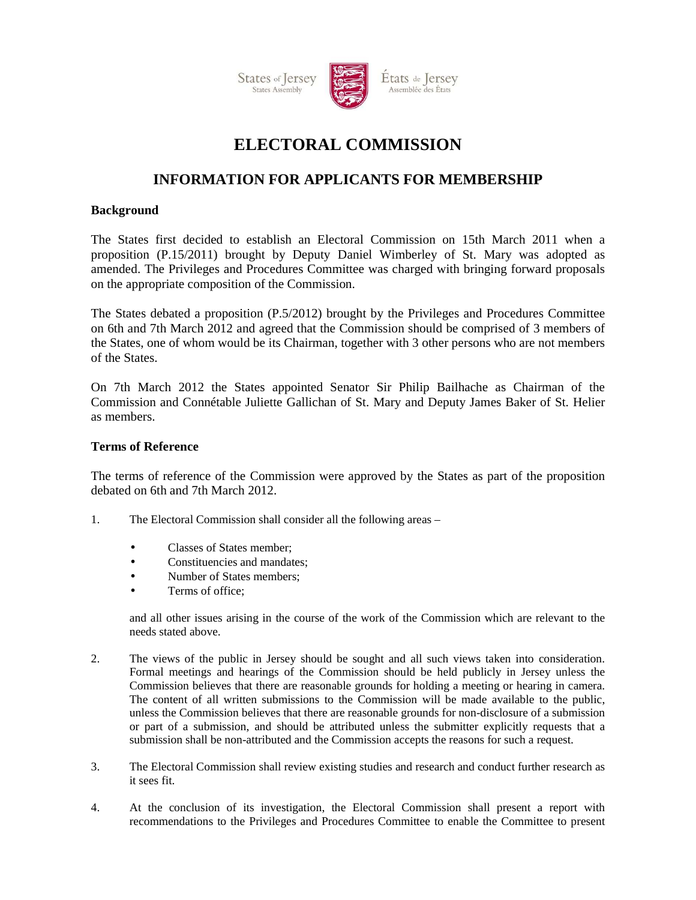

# **ELECTORAL COMMISSION**

# **INFORMATION FOR APPLICANTS FOR MEMBERSHIP**

## **Background**

 The States first decided to establish an Electoral Commission on 15th March 2011 when a proposition (P.15/2011) brought by Deputy Daniel Wimberley of St. Mary was adopted as amended. The Privileges and Procedures Committee was charged with bringing forward proposals on the appropriate composition of the Commission.

 The States debated a proposition (P.5/2012) brought by the Privileges and Procedures Committee on 6th and 7th March 2012 and agreed that the Commission should be comprised of 3 members of the States, one of whom would be its Chairman, together with 3 other persons who are not members of the States.

 On 7th March 2012 the States appointed Senator Sir Philip Bailhache as Chairman of the Commission and Connétable Juliette Gallichan of St. Mary and Deputy James Baker of St. Helier as members.

## **Terms of Reference**

 The terms of reference of the Commission were approved by the States as part of the proposition debated on 6th and 7th March 2012.

- $1.$ The Electoral Commission shall consider all the following areas –
	- Classes of States member;
	- Constituencies and mandates;
	- Number of States members;
	- Terms of office;

 and all other issues arising in the course of the work of the Commission which are relevant to the needs stated above.

- $2.$  Formal meetings and hearings of the Commission should be held publicly in Jersey unless the Commission believes that there are reasonable grounds for holding a meeting or hearing in camera. The content of all written submissions to the Commission will be made available to the public, unless the Commission believes that there are reasonable grounds for non-disclosure of a submission or part of a submission, and should be attributed unless the submitter explicitly requests that a submission shall be non-attributed and the Commission accepts the reasons for such a request. The views of the public in Jersey should be sought and all such views taken into consideration.
- $3.$  it sees fit. The Electoral Commission shall review existing studies and research and conduct further research as
- $4.$  recommendations to the Privileges and Procedures Committee to enable the Committee to present At the conclusion of its investigation, the Electoral Commission shall present a report with